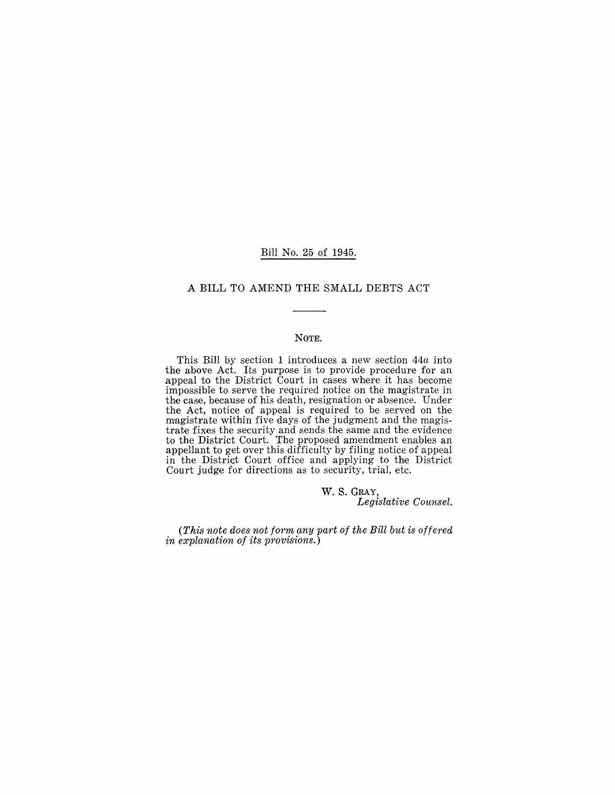#### Bill No. 25 of 1945.

#### A BILL TO AMEND THE SMALL DEBTS ACT

#### NOTE.

This Bill by section 1 introduces a new section *44a* into the above Act. Its purpose is to provide procedure for an appeal to the District Court in cases where it has become impossible to serve the required notice on the magistrate in the case, beeause of his death, resignation or absence. Under the Act, notice of appeal is required to be served on the magistrate within five days of the judgment and the magistrate fixes the security and sends the same and the evidence to the District Court. The proposed amendment enables an appellant to get over this difficulty by filing notice of appeal in the District Court office and applying to the District Court judge for directions as to security, trial, etc.

> w. S. GRAY, *Legislative Counsel.*

*(This note does not form any part of the Bill but is offered in explanation of its provisions.)*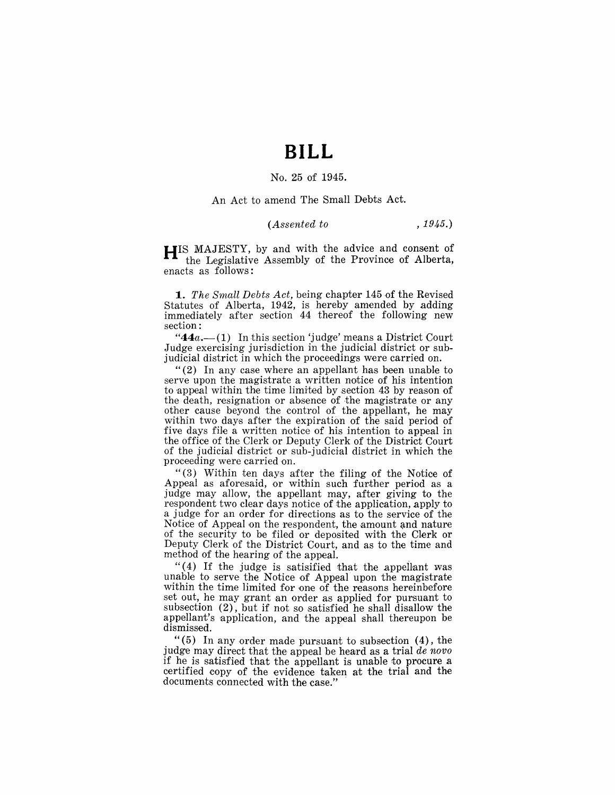## **BILL**

#### No. 25 of 1945.

An Act to amend The Small Debts Act.

#### *(Assented to* , 1945.)

**HIS** MAJESTY, by and with the advice and consent of the Legislative Assembly of the Province of Alberta, enacts as follows:

**1.** *The Small Debts Act*, being chapter 145 of the Revised Statutes of Alberta, 1942, is hereby amended by adding immediately after section 44 thereof the following new section:

" $44a$ .  $-(1)$  In this section 'judge' means a District Court Judge exercising jurisdiction in the judicial district or subjudicial district in which the proceedings were carried on.

"(2) In any case where an appellant has been unable to serve upon the magistrate a written notice of his intention to appeal within the time limited by section 43 by reason of the death, resignation or absence of the magistrate or any other cause beyond the control of the appellant, he may within two days after the expiration of the said period of five days file a written notice of his intention to appeal in the office of the Clerk or Deputy Clerk of the District Court of the judicial district or sub-judicial district in which the proceeding were carried on.

"(3) Within ten days after the filing of the Notice of Appeal as aforesaid, or within such further period as a judge may allow, the appellant may, after giving to the respondent two clear days notice of the applieation, apply to a judge for an order for directions as to the service of the Notice of Appeal on the respondent, the amount and nature of the security to be filed or deposited with the Clerk or Deputy Clerk of the District Court, and as to the time and method of the hearing of the appeal.

" $(4)$  If the judge is satisified that the appellant was unable to serve the Notice of Appeal' upon the magistrate within the time limited for one of the reasons hereinbefore set out, he may grant an order as applied for pursuant to subsection  $(2)$ , but if not so satisfied he shall disallow the appellant's application, and the appeal shall thereupon be dismissed.

"(5) In any order made pursuant to subsection  $(4)$ , the judge may direct that the appeal be heard as a trial *de novo* if he is satisfied that the appellant is unable to procure a certified copy of the evidence taken at the trial and the documents connected with the case."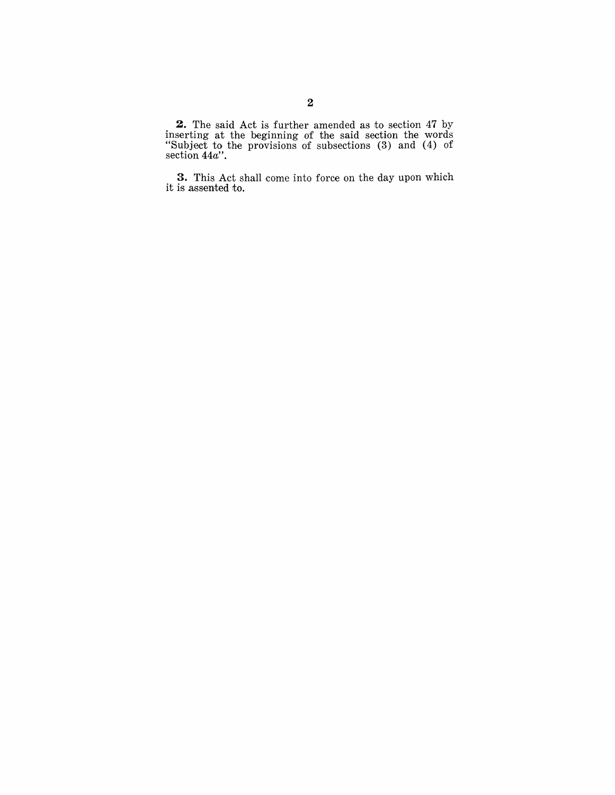**2.** The said Act is further amended as to section 47 by inserting at the beginning of the said section the words "Subject to the provisions of subsections (3) and (4) of section *44a".* 

**3.** This Act shall come into force on the day upon which it is assented to.